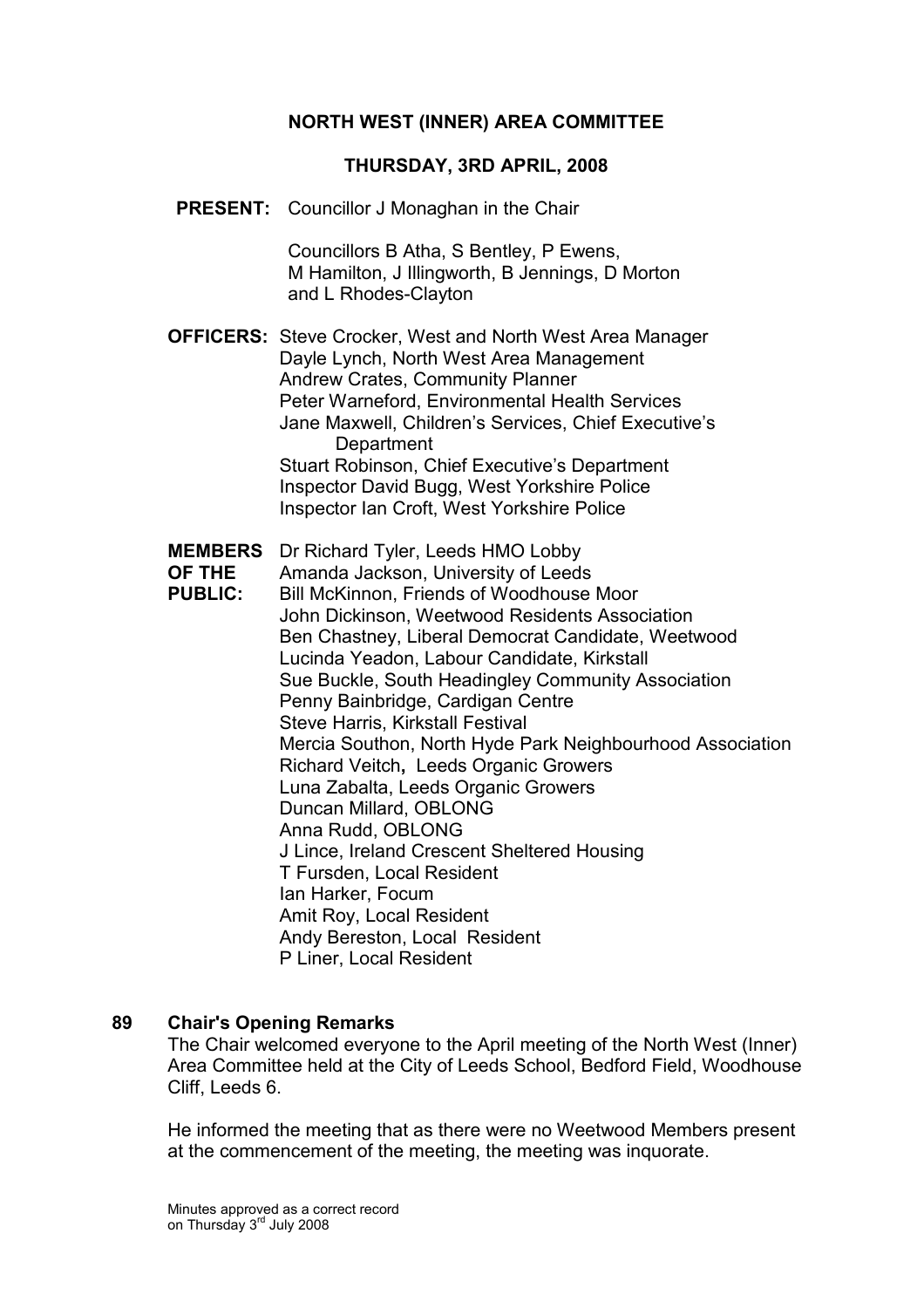## NORTH WEST (INNER) AREA COMMITTEE

#### THURSDAY, 3RD APRIL, 2008

PRESENT: Councillor J Monaghan in the Chair

 Councillors B Atha, S Bentley, P Ewens, M Hamilton, J Illingworth, B Jennings, D Morton and L Rhodes-Clayton

OFFICERS: Steve Crocker, West and North West Area Manager Dayle Lynch, North West Area Management Andrew Crates, Community Planner Peter Warneford, Environmental Health Services Jane Maxwell, Children's Services, Chief Executive's **Department**  Stuart Robinson, Chief Executive's Department Inspector David Bugg, West Yorkshire Police Inspector Ian Croft, West Yorkshire Police

- MEMBERS Dr Richard Tyler, Leeds HMO Lobby
- OF THE Amanda Jackson, University of Leeds
- PUBLIC: Bill McKinnon, Friends of Woodhouse Moor John Dickinson, Weetwood Residents Association Ben Chastney, Liberal Democrat Candidate, Weetwood Lucinda Yeadon, Labour Candidate, Kirkstall Sue Buckle, South Headingley Community Association Penny Bainbridge, Cardigan Centre Steve Harris, Kirkstall Festival Mercia Southon, North Hyde Park Neighbourhood Association Richard Veitch, Leeds Organic Growers Luna Zabalta, Leeds Organic Growers Duncan Millard, OBLONG Anna Rudd, OBLONG J Lince, Ireland Crescent Sheltered Housing T Fursden, Local Resident Ian Harker, Focum Amit Roy, Local Resident Andy Bereston, Local Resident P Liner, Local Resident

#### 89 Chair's Opening Remarks

The Chair welcomed everyone to the April meeting of the North West (Inner) Area Committee held at the City of Leeds School, Bedford Field, Woodhouse Cliff, Leeds 6.

He informed the meeting that as there were no Weetwood Members present at the commencement of the meeting, the meeting was inquorate.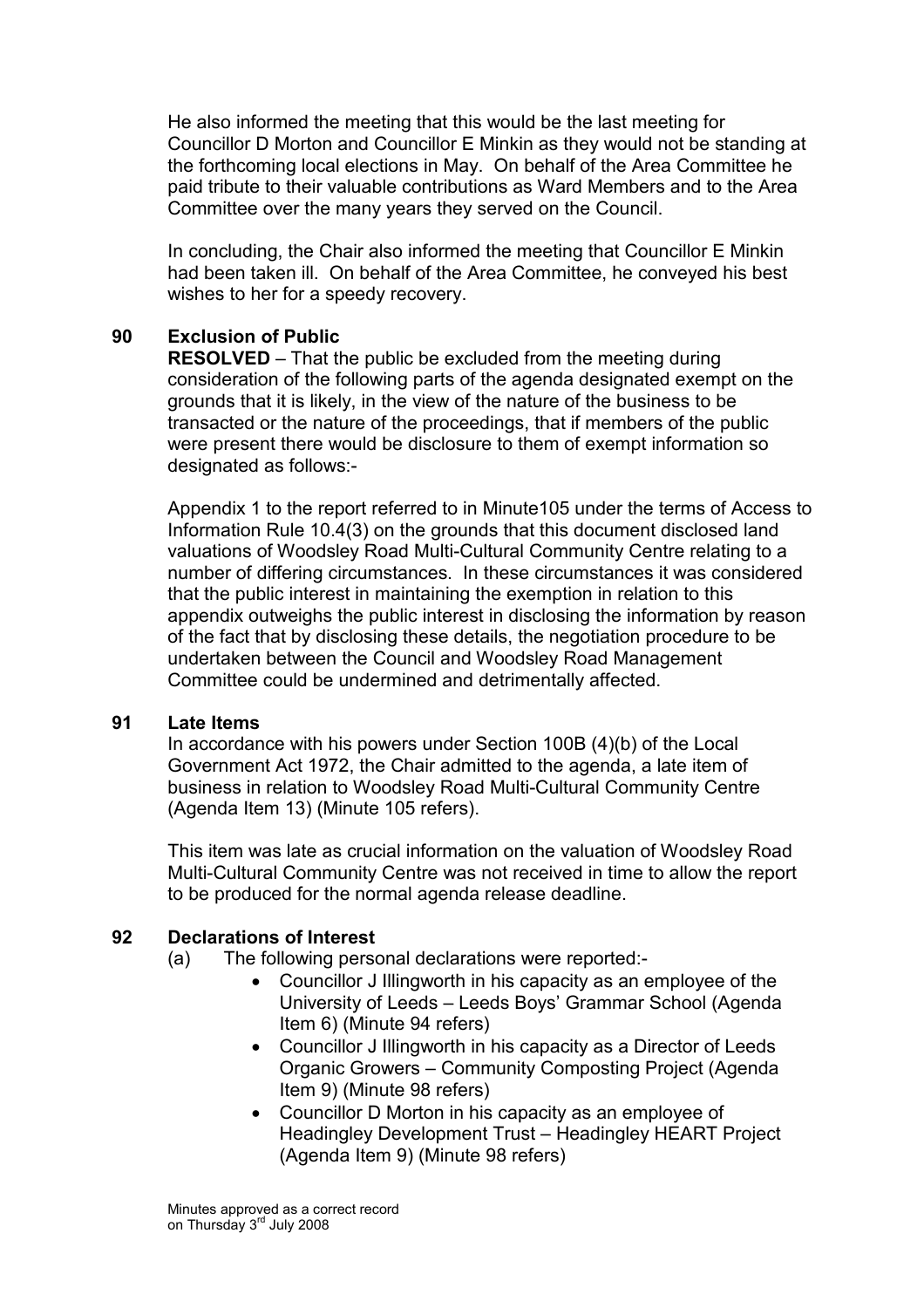He also informed the meeting that this would be the last meeting for Councillor D Morton and Councillor E Minkin as they would not be standing at the forthcoming local elections in May. On behalf of the Area Committee he paid tribute to their valuable contributions as Ward Members and to the Area Committee over the many years they served on the Council.

In concluding, the Chair also informed the meeting that Councillor E Minkin had been taken ill. On behalf of the Area Committee, he conveyed his best wishes to her for a speedy recovery.

## 90 Exclusion of Public

RESOLVED – That the public be excluded from the meeting during consideration of the following parts of the agenda designated exempt on the grounds that it is likely, in the view of the nature of the business to be transacted or the nature of the proceedings, that if members of the public were present there would be disclosure to them of exempt information so designated as follows:-

Appendix 1 to the report referred to in Minute105 under the terms of Access to Information Rule 10.4(3) on the grounds that this document disclosed land valuations of Woodsley Road Multi-Cultural Community Centre relating to a number of differing circumstances. In these circumstances it was considered that the public interest in maintaining the exemption in relation to this appendix outweighs the public interest in disclosing the information by reason of the fact that by disclosing these details, the negotiation procedure to be undertaken between the Council and Woodsley Road Management Committee could be undermined and detrimentally affected.

### 91 Late Items

In accordance with his powers under Section 100B (4)(b) of the Local Government Act 1972, the Chair admitted to the agenda, a late item of business in relation to Woodsley Road Multi-Cultural Community Centre (Agenda Item 13) (Minute 105 refers).

This item was late as crucial information on the valuation of Woodsley Road Multi-Cultural Community Centre was not received in time to allow the report to be produced for the normal agenda release deadline.

## 92 Declarations of Interest

- (a) The following personal declarations were reported:-
	- Councillor J Illingworth in his capacity as an employee of the University of Leeds – Leeds Boys' Grammar School (Agenda Item 6) (Minute 94 refers)
	- Councillor J Illingworth in his capacity as a Director of Leeds Organic Growers – Community Composting Project (Agenda Item 9) (Minute 98 refers)
	- Councillor D Morton in his capacity as an employee of Headingley Development Trust – Headingley HEART Project (Agenda Item 9) (Minute 98 refers)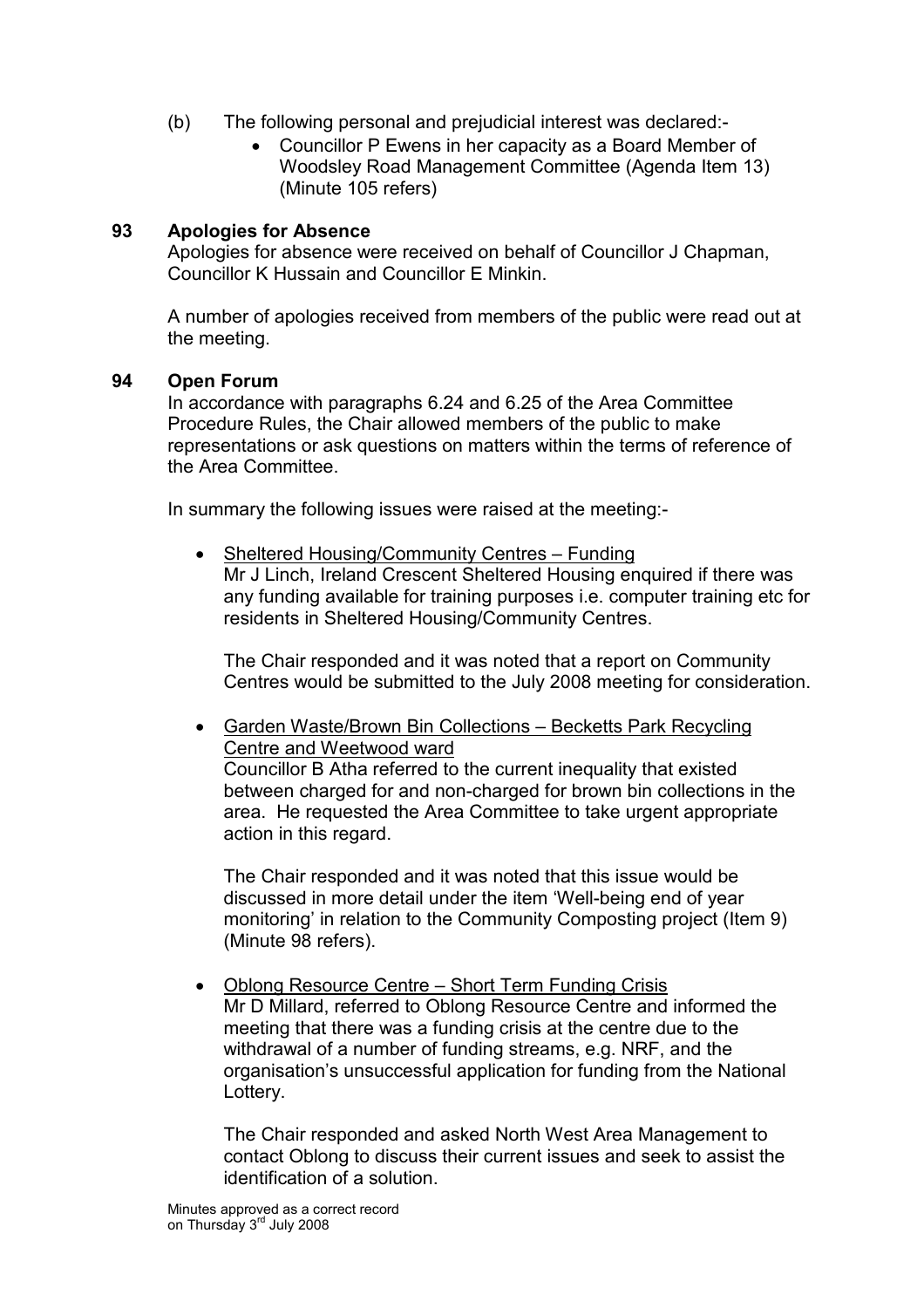- (b) The following personal and prejudicial interest was declared:-
	- Councillor P Ewens in her capacity as a Board Member of Woodsley Road Management Committee (Agenda Item 13) (Minute 105 refers)

## 93 Apologies for Absence

Apologies for absence were received on behalf of Councillor J Chapman, Councillor K Hussain and Councillor E Minkin.

A number of apologies received from members of the public were read out at the meeting.

### 94 Open Forum

In accordance with paragraphs 6.24 and 6.25 of the Area Committee Procedure Rules, the Chair allowed members of the public to make representations or ask questions on matters within the terms of reference of the Area Committee.

In summary the following issues were raised at the meeting:-

• Sheltered Housing/Community Centres – Funding Mr J Linch, Ireland Crescent Sheltered Housing enquired if there was any funding available for training purposes i.e. computer training etc for residents in Sheltered Housing/Community Centres.

The Chair responded and it was noted that a report on Community Centres would be submitted to the July 2008 meeting for consideration.

• Garden Waste/Brown Bin Collections – Becketts Park Recycling Centre and Weetwood ward Councillor B Atha referred to the current inequality that existed between charged for and non-charged for brown bin collections in the area. He requested the Area Committee to take urgent appropriate action in this regard.

The Chair responded and it was noted that this issue would be discussed in more detail under the item 'Well-being end of year monitoring' in relation to the Community Composting project (Item 9) (Minute 98 refers).

• Oblong Resource Centre – Short Term Funding Crisis Mr D Millard, referred to Oblong Resource Centre and informed the meeting that there was a funding crisis at the centre due to the withdrawal of a number of funding streams, e.g. NRF, and the organisation's unsuccessful application for funding from the National Lottery.

The Chair responded and asked North West Area Management to contact Oblong to discuss their current issues and seek to assist the identification of a solution.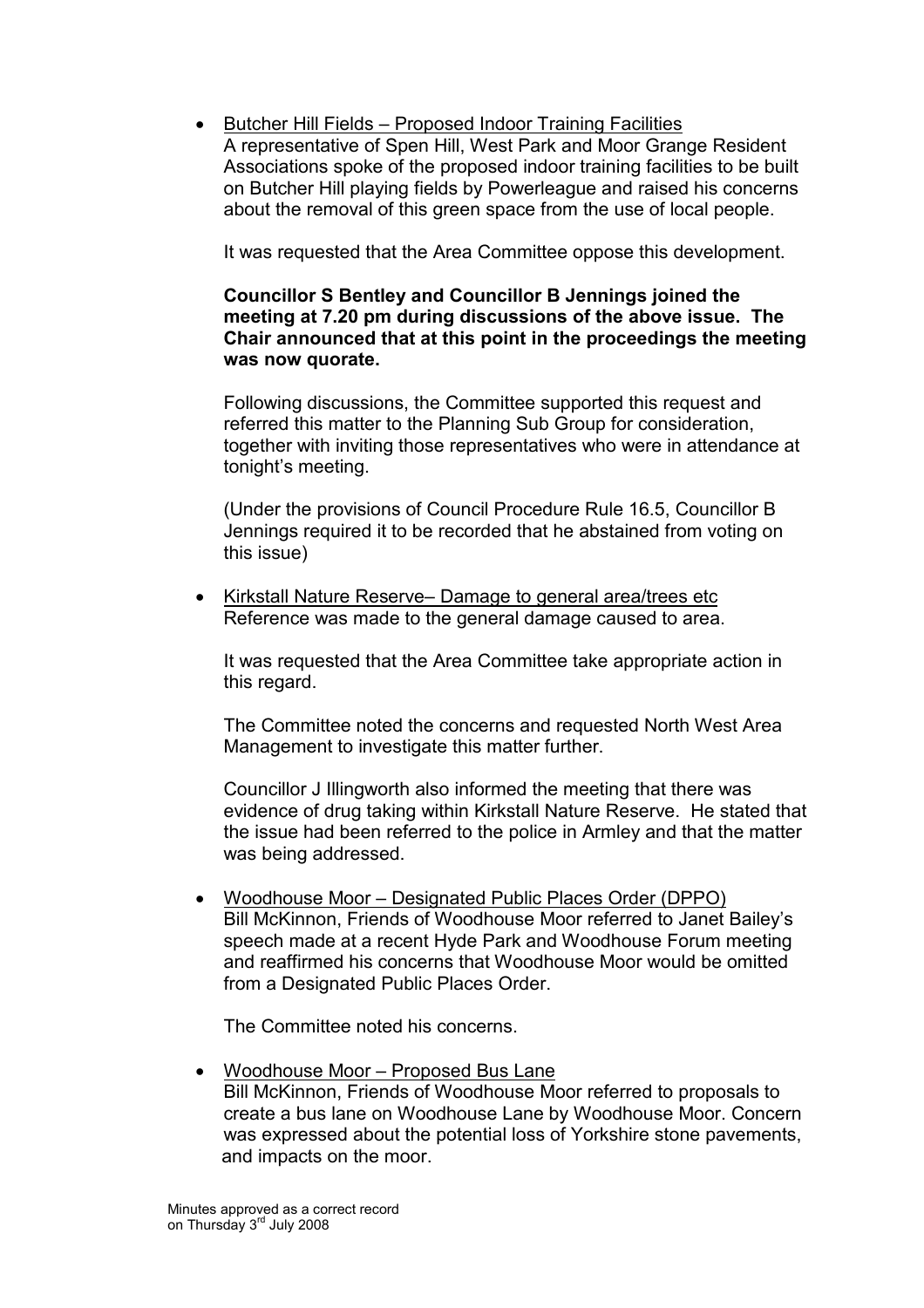• Butcher Hill Fields – Proposed Indoor Training Facilities A representative of Spen Hill, West Park and Moor Grange Resident Associations spoke of the proposed indoor training facilities to be built on Butcher Hill playing fields by Powerleague and raised his concerns about the removal of this green space from the use of local people.

It was requested that the Area Committee oppose this development.

### Councillor S Bentley and Councillor B Jennings joined the meeting at 7.20 pm during discussions of the above issue. The Chair announced that at this point in the proceedings the meeting was now quorate.

Following discussions, the Committee supported this request and referred this matter to the Planning Sub Group for consideration, together with inviting those representatives who were in attendance at tonight's meeting.

(Under the provisions of Council Procedure Rule 16.5, Councillor B Jennings required it to be recorded that he abstained from voting on this issue)

• Kirkstall Nature Reserve– Damage to general area/trees etc Reference was made to the general damage caused to area.

It was requested that the Area Committee take appropriate action in this regard.

The Committee noted the concerns and requested North West Area Management to investigate this matter further.

Councillor J Illingworth also informed the meeting that there was evidence of drug taking within Kirkstall Nature Reserve. He stated that the issue had been referred to the police in Armley and that the matter was being addressed.

• Woodhouse Moor – Designated Public Places Order (DPPO) Bill McKinnon, Friends of Woodhouse Moor referred to Janet Bailey's speech made at a recent Hyde Park and Woodhouse Forum meeting and reaffirmed his concerns that Woodhouse Moor would be omitted from a Designated Public Places Order.

The Committee noted his concerns.

• Woodhouse Moor – Proposed Bus Lane Bill McKinnon, Friends of Woodhouse Moor referred to proposals to create a bus lane on Woodhouse Lane by Woodhouse Moor. Concern was expressed about the potential loss of Yorkshire stone pavements, and impacts on the moor.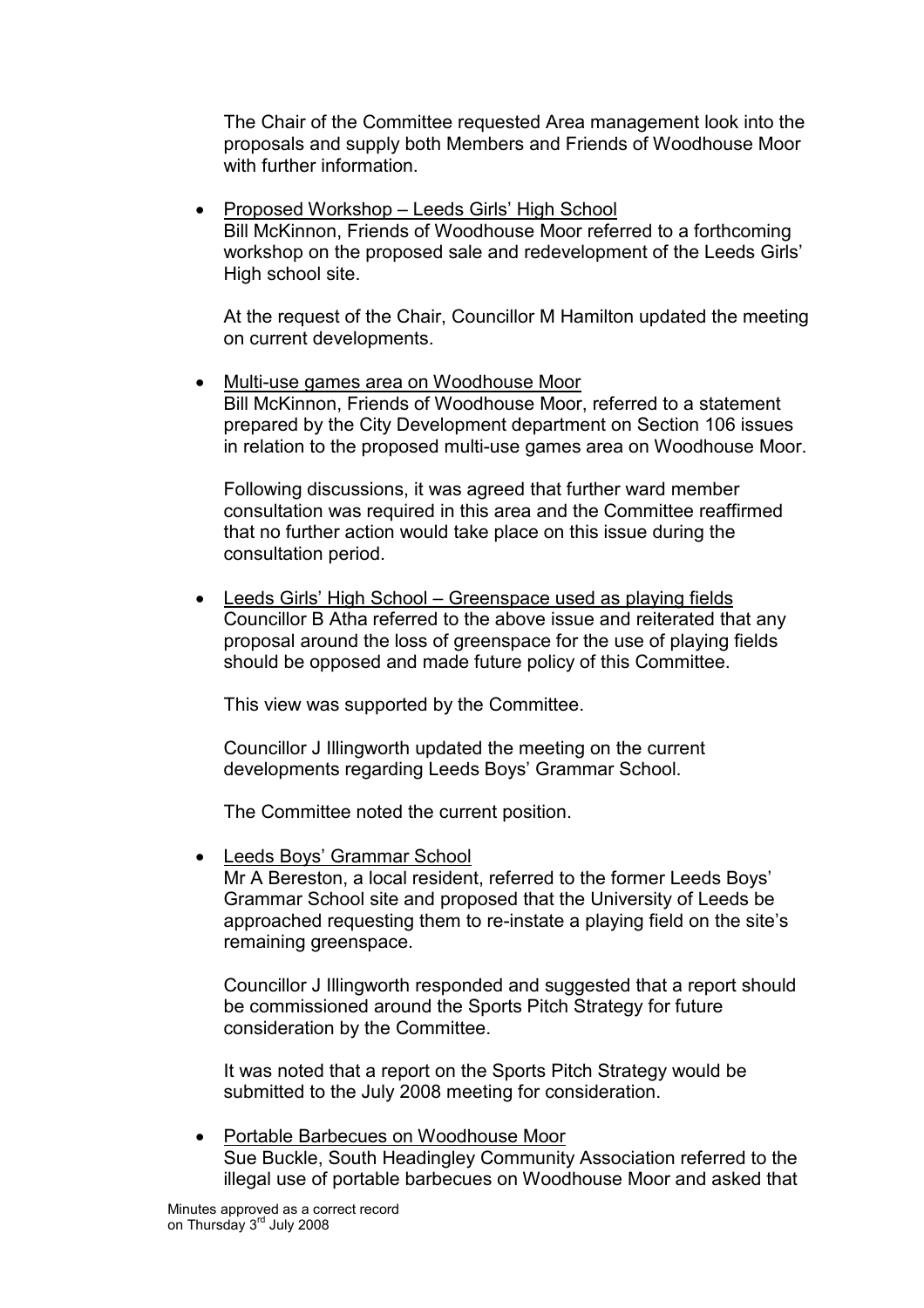The Chair of the Committee requested Area management look into the proposals and supply both Members and Friends of Woodhouse Moor with further information.

• Proposed Workshop – Leeds Girls' High School Bill McKinnon, Friends of Woodhouse Moor referred to a forthcoming workshop on the proposed sale and redevelopment of the Leeds Girls' High school site.

At the request of the Chair, Councillor M Hamilton updated the meeting on current developments.

• Multi-use games area on Woodhouse Moor Bill McKinnon, Friends of Woodhouse Moor, referred to a statement prepared by the City Development department on Section 106 issues in relation to the proposed multi-use games area on Woodhouse Moor.

Following discussions, it was agreed that further ward member consultation was required in this area and the Committee reaffirmed that no further action would take place on this issue during the consultation period.

• Leeds Girls' High School – Greenspace used as playing fields Councillor B Atha referred to the above issue and reiterated that any proposal around the loss of greenspace for the use of playing fields should be opposed and made future policy of this Committee.

This view was supported by the Committee.

Councillor J Illingworth updated the meeting on the current developments regarding Leeds Boys' Grammar School.

The Committee noted the current position.

• Leeds Boys' Grammar School

Mr A Bereston, a local resident, referred to the former Leeds Boys' Grammar School site and proposed that the University of Leeds be approached requesting them to re-instate a playing field on the site's remaining greenspace.

Councillor J Illingworth responded and suggested that a report should be commissioned around the Sports Pitch Strategy for future consideration by the Committee.

It was noted that a report on the Sports Pitch Strategy would be submitted to the July 2008 meeting for consideration.

• Portable Barbecues on Woodhouse Moor Sue Buckle, South Headingley Community Association referred to the illegal use of portable barbecues on Woodhouse Moor and asked that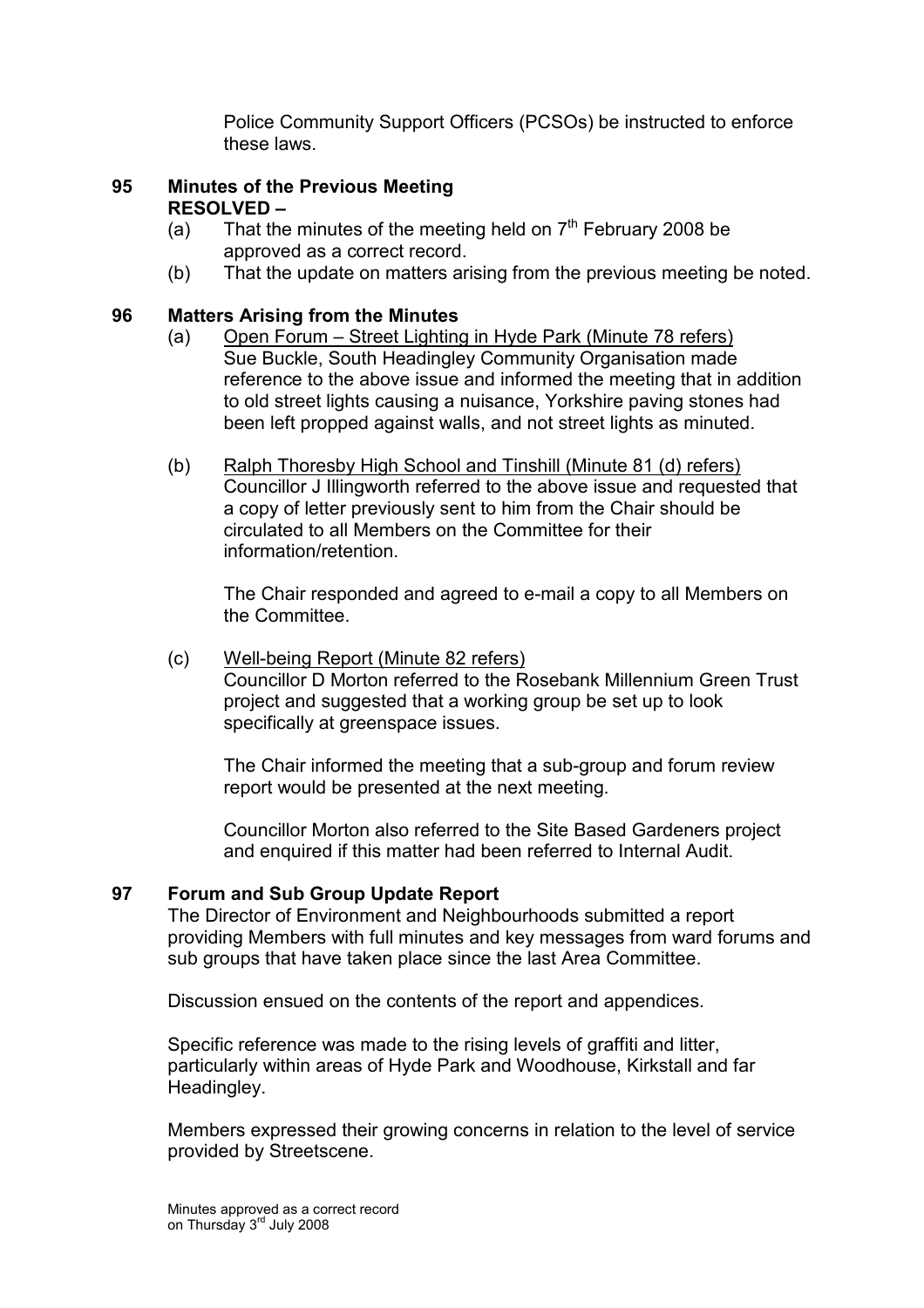Police Community Support Officers (PCSOs) be instructed to enforce these laws.

## 95 Minutes of the Previous Meeting RESOLVED –

- (a) That the minutes of the meeting held on  $7<sup>th</sup>$  February 2008 be approved as a correct record.
- (b) That the update on matters arising from the previous meeting be noted.

## 96 Matters Arising from the Minutes

- (a) Open Forum Street Lighting in Hyde Park (Minute 78 refers) Sue Buckle, South Headingley Community Organisation made reference to the above issue and informed the meeting that in addition to old street lights causing a nuisance, Yorkshire paving stones had been left propped against walls, and not street lights as minuted.
- (b) Ralph Thoresby High School and Tinshill (Minute 81 (d) refers) Councillor J Illingworth referred to the above issue and requested that a copy of letter previously sent to him from the Chair should be circulated to all Members on the Committee for their information/retention.

The Chair responded and agreed to e-mail a copy to all Members on the Committee.

## (c) Well-being Report (Minute 82 refers) Councillor D Morton referred to the Rosebank Millennium Green Trust project and suggested that a working group be set up to look specifically at greenspace issues.

 The Chair informed the meeting that a sub-group and forum review report would be presented at the next meeting.

 Councillor Morton also referred to the Site Based Gardeners project and enquired if this matter had been referred to Internal Audit.

### 97 Forum and Sub Group Update Report

The Director of Environment and Neighbourhoods submitted a report providing Members with full minutes and key messages from ward forums and sub groups that have taken place since the last Area Committee.

Discussion ensued on the contents of the report and appendices.

Specific reference was made to the rising levels of graffiti and litter, particularly within areas of Hyde Park and Woodhouse, Kirkstall and far Headingley.

Members expressed their growing concerns in relation to the level of service provided by Streetscene.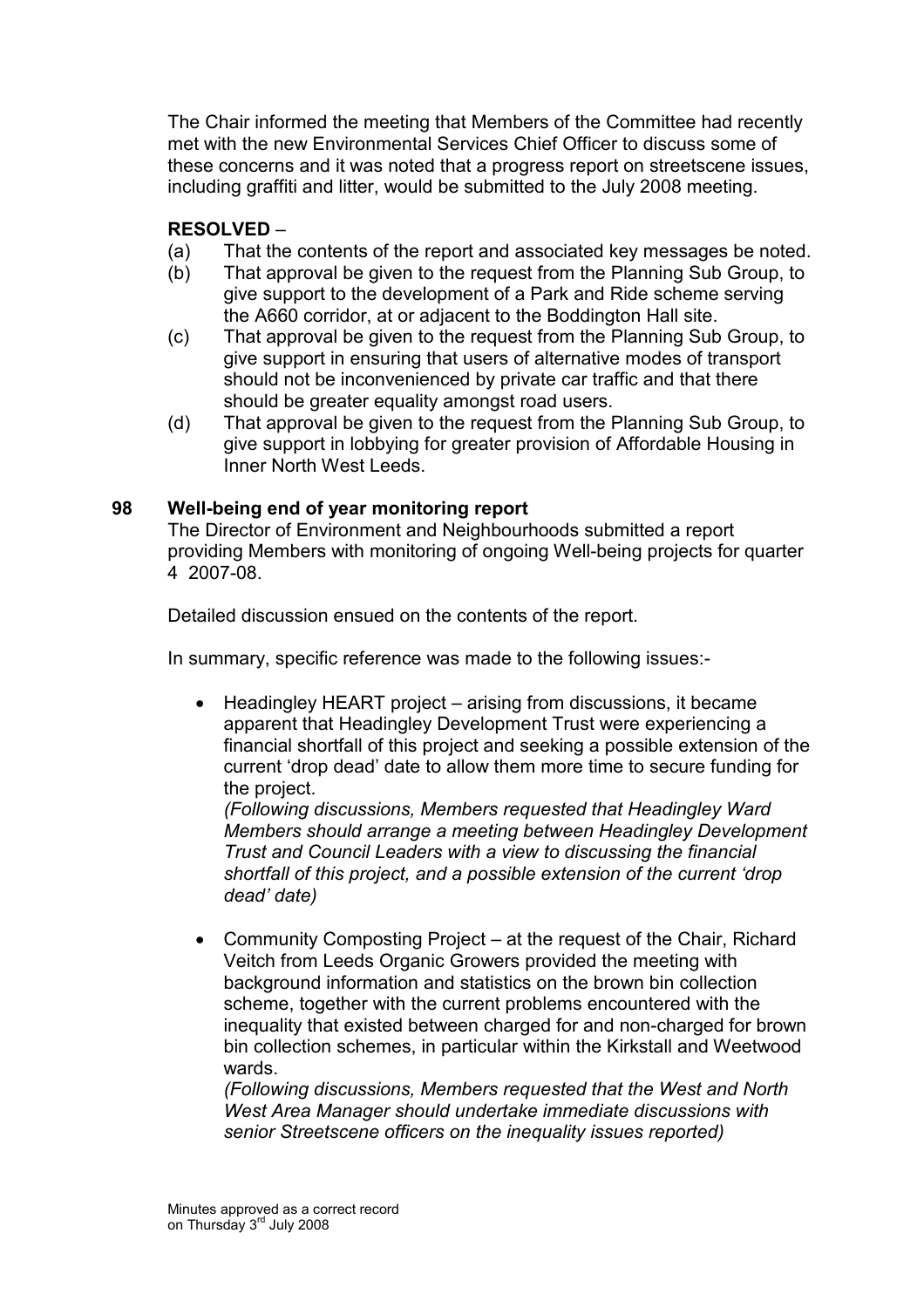The Chair informed the meeting that Members of the Committee had recently met with the new Environmental Services Chief Officer to discuss some of these concerns and it was noted that a progress report on streetscene issues, including graffiti and litter, would be submitted to the July 2008 meeting.

## RESOLVED –

- (a) That the contents of the report and associated key messages be noted.
- (b) That approval be given to the request from the Planning Sub Group, to give support to the development of a Park and Ride scheme serving the A660 corridor, at or adjacent to the Boddington Hall site.
- (c) That approval be given to the request from the Planning Sub Group, to give support in ensuring that users of alternative modes of transport should not be inconvenienced by private car traffic and that there should be greater equality amongst road users.
- (d) That approval be given to the request from the Planning Sub Group, to give support in lobbying for greater provision of Affordable Housing in Inner North West Leeds.

### 98 Well-being end of year monitoring report

The Director of Environment and Neighbourhoods submitted a report providing Members with monitoring of ongoing Well-being projects for quarter 4 2007-08.

Detailed discussion ensued on the contents of the report.

In summary, specific reference was made to the following issues:-

• Headingley HEART project – arising from discussions, it became apparent that Headingley Development Trust were experiencing a financial shortfall of this project and seeking a possible extension of the current 'drop dead' date to allow them more time to secure funding for the project.

(Following discussions, Members requested that Headingley Ward Members should arrange a meeting between Headingley Development Trust and Council Leaders with a view to discussing the financial shortfall of this project, and a possible extension of the current 'drop dead' date)

• Community Composting Project – at the request of the Chair, Richard Veitch from Leeds Organic Growers provided the meeting with background information and statistics on the brown bin collection scheme, together with the current problems encountered with the inequality that existed between charged for and non-charged for brown bin collection schemes, in particular within the Kirkstall and Weetwood wards.

(Following discussions, Members requested that the West and North West Area Manager should undertake immediate discussions with senior Streetscene officers on the inequality issues reported)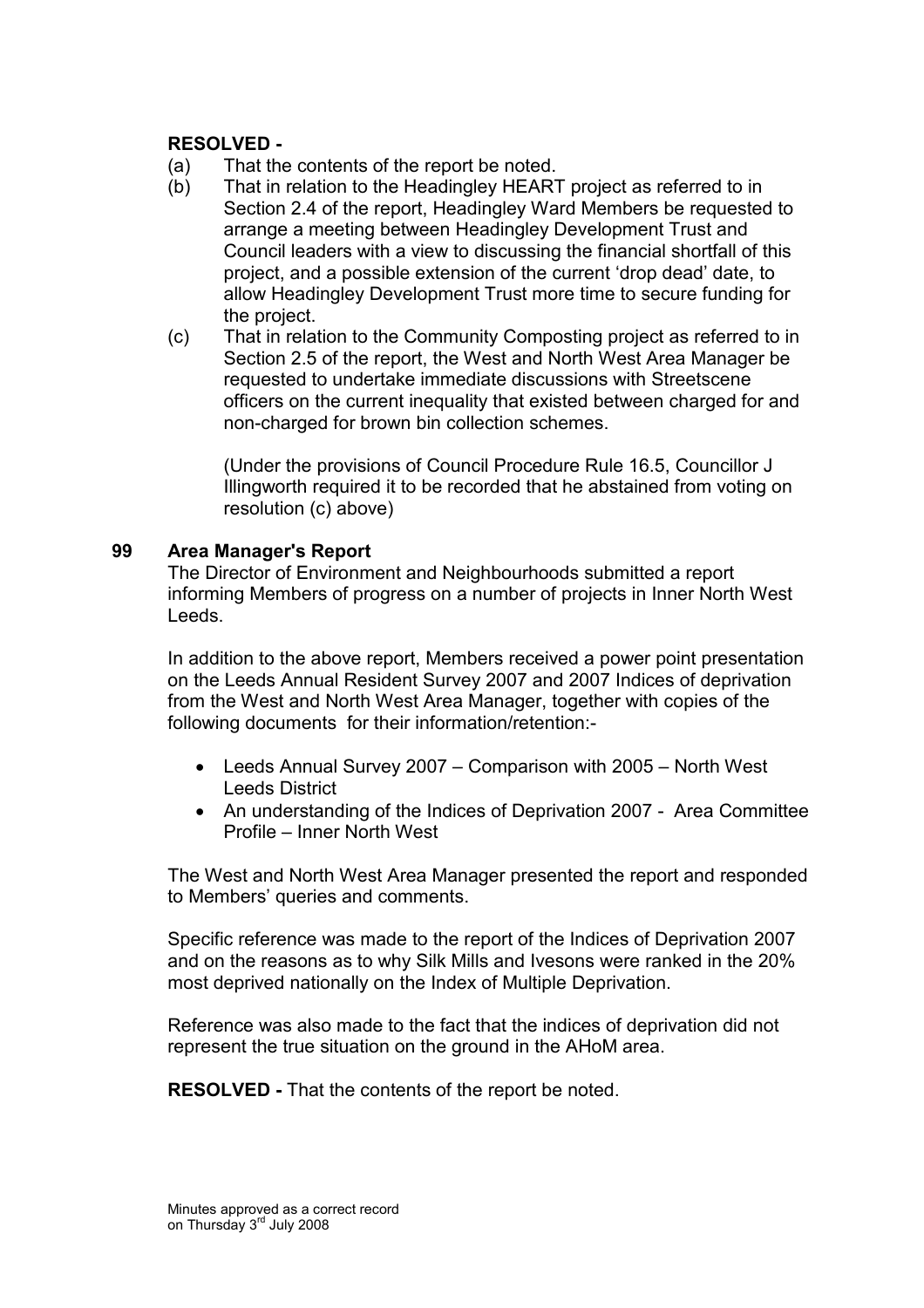### RESOLVED -

- (a) That the contents of the report be noted.
- (b) That in relation to the Headingley HEART project as referred to in Section 2.4 of the report, Headingley Ward Members be requested to arrange a meeting between Headingley Development Trust and Council leaders with a view to discussing the financial shortfall of this project, and a possible extension of the current 'drop dead' date, to allow Headingley Development Trust more time to secure funding for the project.
- (c) That in relation to the Community Composting project as referred to in Section 2.5 of the report, the West and North West Area Manager be requested to undertake immediate discussions with Streetscene officers on the current inequality that existed between charged for and non-charged for brown bin collection schemes.

 (Under the provisions of Council Procedure Rule 16.5, Councillor J Illingworth required it to be recorded that he abstained from voting on resolution (c) above)

#### 99 Area Manager's Report

The Director of Environment and Neighbourhoods submitted a report informing Members of progress on a number of projects in Inner North West Leeds.

In addition to the above report, Members received a power point presentation on the Leeds Annual Resident Survey 2007 and 2007 Indices of deprivation from the West and North West Area Manager, together with copies of the following documents for their information/retention:-

- Leeds Annual Survey 2007 Comparison with 2005 North West Leeds District
- An understanding of the Indices of Deprivation 2007 Area Committee Profile – Inner North West

The West and North West Area Manager presented the report and responded to Members' queries and comments.

Specific reference was made to the report of the Indices of Deprivation 2007 and on the reasons as to why Silk Mills and Ivesons were ranked in the 20% most deprived nationally on the Index of Multiple Deprivation.

Reference was also made to the fact that the indices of deprivation did not represent the true situation on the ground in the AHoM area.

RESOLVED - That the contents of the report be noted.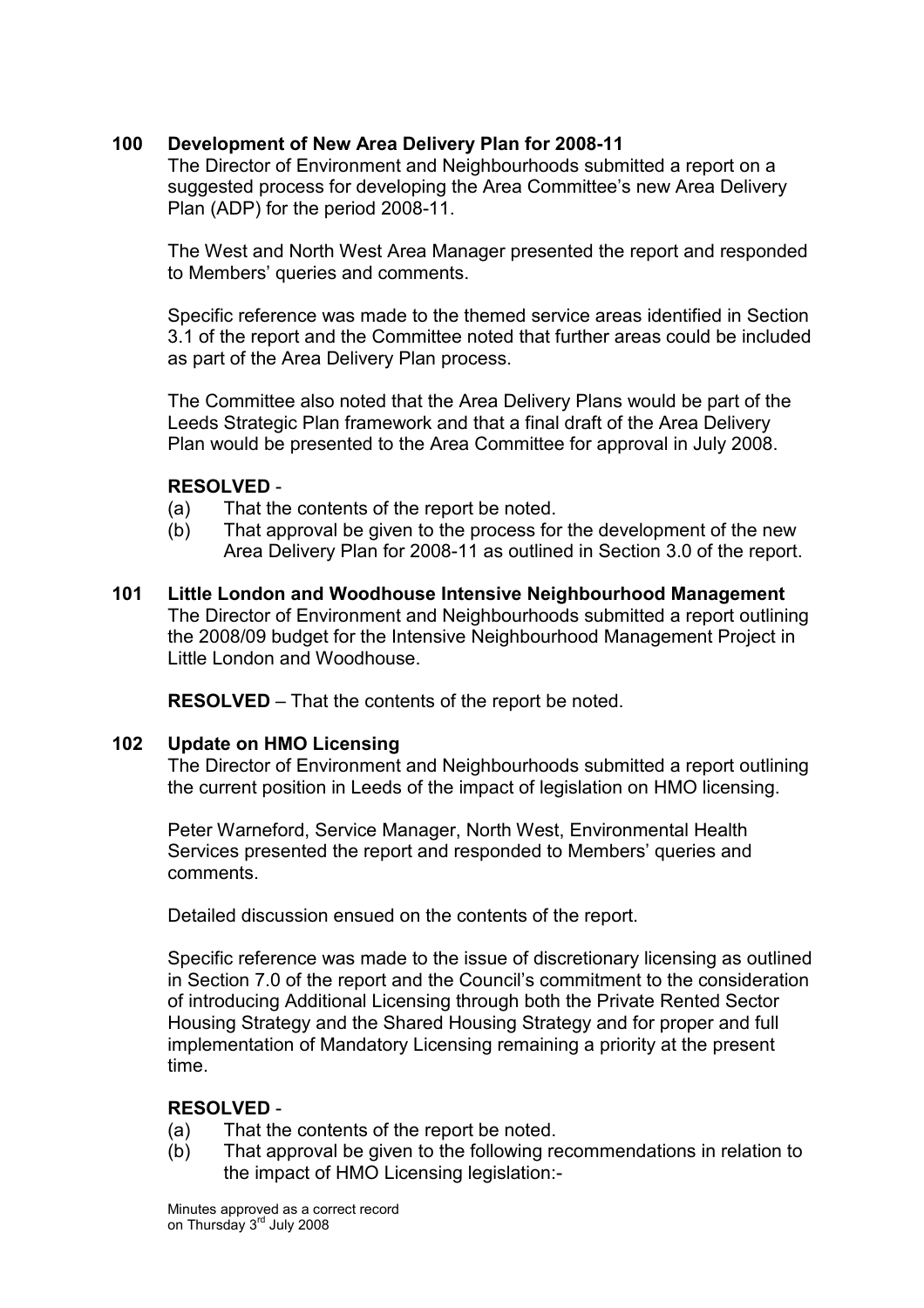## 100 Development of New Area Delivery Plan for 2008-11

The Director of Environment and Neighbourhoods submitted a report on a suggested process for developing the Area Committee's new Area Delivery Plan (ADP) for the period 2008-11.

The West and North West Area Manager presented the report and responded to Members' queries and comments.

Specific reference was made to the themed service areas identified in Section 3.1 of the report and the Committee noted that further areas could be included as part of the Area Delivery Plan process.

The Committee also noted that the Area Delivery Plans would be part of the Leeds Strategic Plan framework and that a final draft of the Area Delivery Plan would be presented to the Area Committee for approval in July 2008.

## RESOLVED -

- (a) That the contents of the report be noted.
- (b) That approval be given to the process for the development of the new Area Delivery Plan for 2008-11 as outlined in Section 3.0 of the report.
- 101 Little London and Woodhouse Intensive Neighbourhood Management The Director of Environment and Neighbourhoods submitted a report outlining the 2008/09 budget for the Intensive Neighbourhood Management Project in Little London and Woodhouse.

RESOLVED – That the contents of the report be noted.

### 102 Update on HMO Licensing

The Director of Environment and Neighbourhoods submitted a report outlining the current position in Leeds of the impact of legislation on HMO licensing.

Peter Warneford, Service Manager, North West, Environmental Health Services presented the report and responded to Members' queries and comments.

Detailed discussion ensued on the contents of the report.

Specific reference was made to the issue of discretionary licensing as outlined in Section 7.0 of the report and the Council's commitment to the consideration of introducing Additional Licensing through both the Private Rented Sector Housing Strategy and the Shared Housing Strategy and for proper and full implementation of Mandatory Licensing remaining a priority at the present time.

## RESOLVED -

- (a) That the contents of the report be noted.
- (b) That approval be given to the following recommendations in relation to the impact of HMO Licensing legislation:-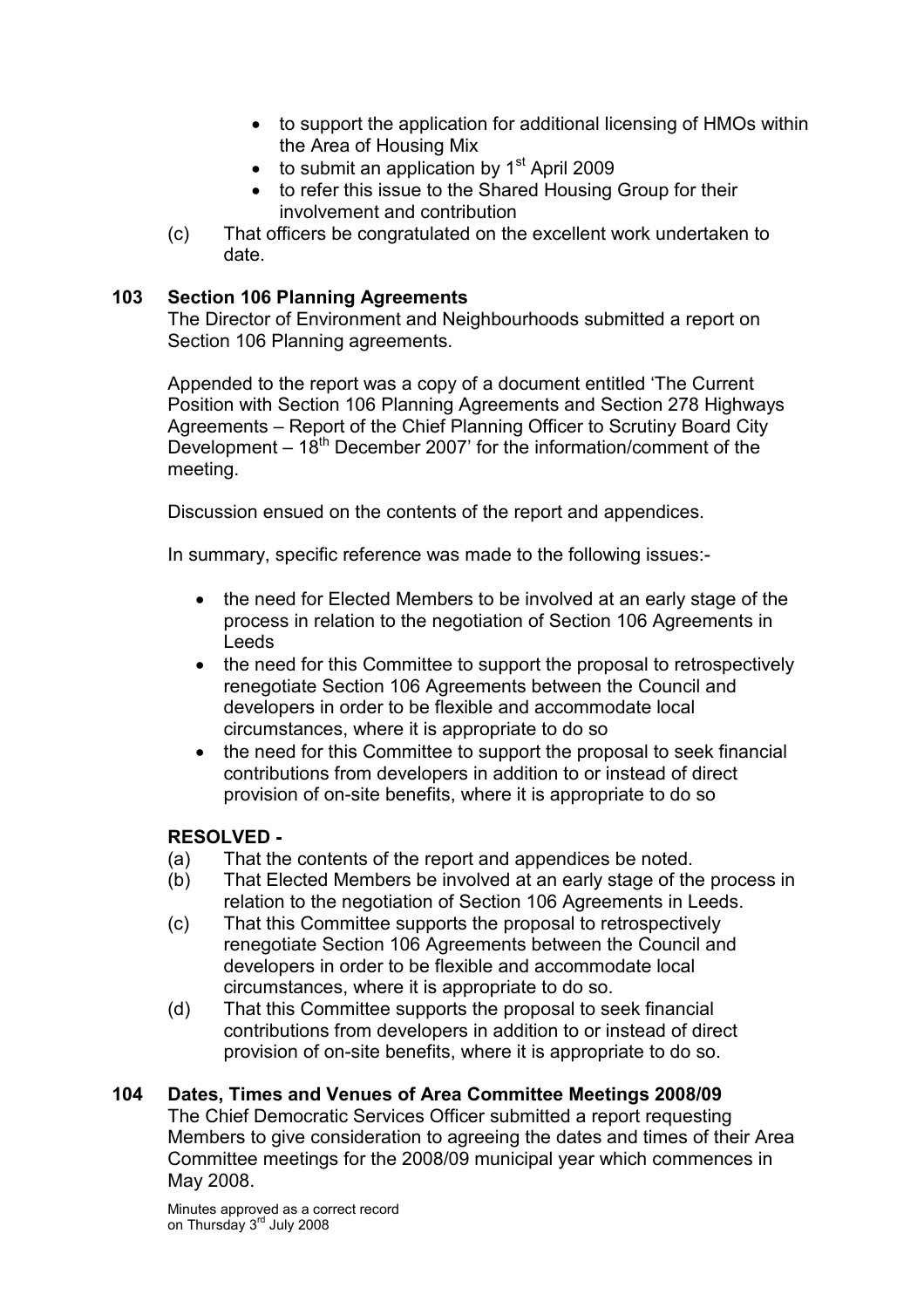- to support the application for additional licensing of HMOs within the Area of Housing Mix
- $\bullet$  to submit an application by 1<sup>st</sup> April 2009
- to refer this issue to the Shared Housing Group for their involvement and contribution
- (c) That officers be congratulated on the excellent work undertaken to date.

## 103 Section 106 Planning Agreements

The Director of Environment and Neighbourhoods submitted a report on Section 106 Planning agreements.

Appended to the report was a copy of a document entitled 'The Current Position with Section 106 Planning Agreements and Section 278 Highways Agreements – Report of the Chief Planning Officer to Scrutiny Board City Development  $-18^{th}$  December 2007' for the information/comment of the meeting.

Discussion ensued on the contents of the report and appendices.

In summary, specific reference was made to the following issues:-

- the need for Elected Members to be involved at an early stage of the process in relation to the negotiation of Section 106 Agreements in Leeds
- the need for this Committee to support the proposal to retrospectively renegotiate Section 106 Agreements between the Council and developers in order to be flexible and accommodate local circumstances, where it is appropriate to do so
- the need for this Committee to support the proposal to seek financial contributions from developers in addition to or instead of direct provision of on-site benefits, where it is appropriate to do so

## RESOLVED -

- (a) That the contents of the report and appendices be noted.
- (b) That Elected Members be involved at an early stage of the process in relation to the negotiation of Section 106 Agreements in Leeds.
- (c) That this Committee supports the proposal to retrospectively renegotiate Section 106 Agreements between the Council and developers in order to be flexible and accommodate local circumstances, where it is appropriate to do so.
- (d) That this Committee supports the proposal to seek financial contributions from developers in addition to or instead of direct provision of on-site benefits, where it is appropriate to do so.

### 104 Dates, Times and Venues of Area Committee Meetings 2008/09

The Chief Democratic Services Officer submitted a report requesting Members to give consideration to agreeing the dates and times of their Area Committee meetings for the 2008/09 municipal year which commences in May 2008.